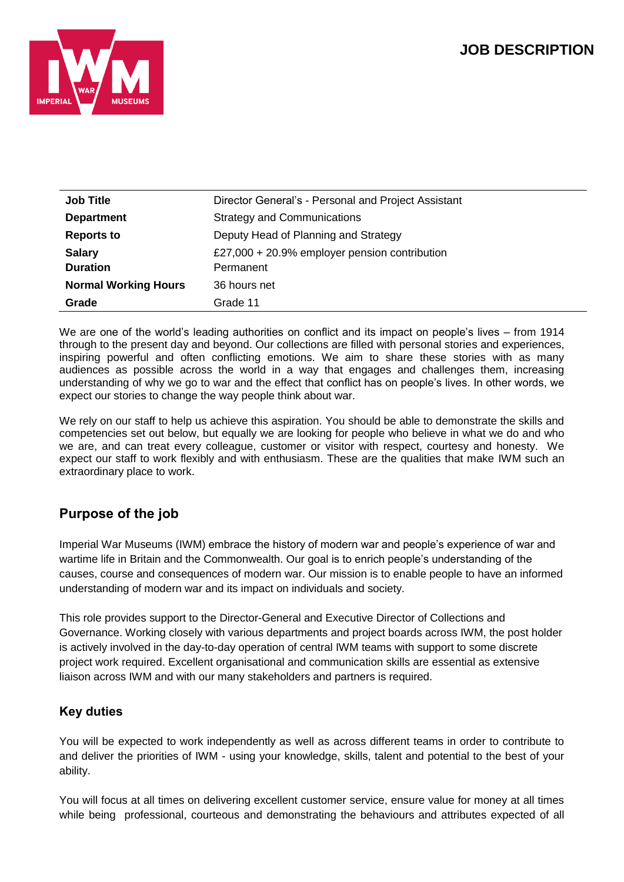

| <b>Job Title</b>                 | Director General's - Personal and Project Assistant        |  |
|----------------------------------|------------------------------------------------------------|--|
| <b>Department</b>                | <b>Strategy and Communications</b>                         |  |
| <b>Reports to</b>                | Deputy Head of Planning and Strategy                       |  |
| <b>Salary</b><br><b>Duration</b> | £27,000 + 20.9% employer pension contribution<br>Permanent |  |
| <b>Normal Working Hours</b>      | 36 hours net                                               |  |
| Grade                            | Grade 11                                                   |  |

We are one of the world's leading authorities on conflict and its impact on people's lives – from 1914 through to the present day and beyond. Our collections are filled with personal stories and experiences, inspiring powerful and often conflicting emotions. We aim to share these stories with as many audiences as possible across the world in a way that engages and challenges them, increasing understanding of why we go to war and the effect that conflict has on people's lives. In other words, we expect our stories to change the way people think about war.

We rely on our staff to help us achieve this aspiration. You should be able to demonstrate the skills and competencies set out below, but equally we are looking for people who believe in what we do and who we are, and can treat every colleague, customer or visitor with respect, courtesy and honesty. We expect our staff to work flexibly and with enthusiasm. These are the qualities that make IWM such an extraordinary place to work.

# **Purpose of the job**

Imperial War Museums (IWM) embrace the history of modern war and people's experience of war and wartime life in Britain and the Commonwealth. Our goal is to enrich people's understanding of the causes, course and consequences of modern war. Our mission is to enable people to have an informed understanding of modern war and its impact on individuals and society.

This role provides support to the Director-General and Executive Director of Collections and Governance. Working closely with various departments and project boards across IWM, the post holder is actively involved in the day-to-day operation of central IWM teams with support to some discrete project work required. Excellent organisational and communication skills are essential as extensive liaison across IWM and with our many stakeholders and partners is required.

## **Key duties**

You will be expected to work independently as well as across different teams in order to contribute to and deliver the priorities of IWM - using your knowledge, skills, talent and potential to the best of your ability.

You will focus at all times on delivering excellent customer service, ensure value for money at all times while being professional, courteous and demonstrating the behaviours and attributes expected of all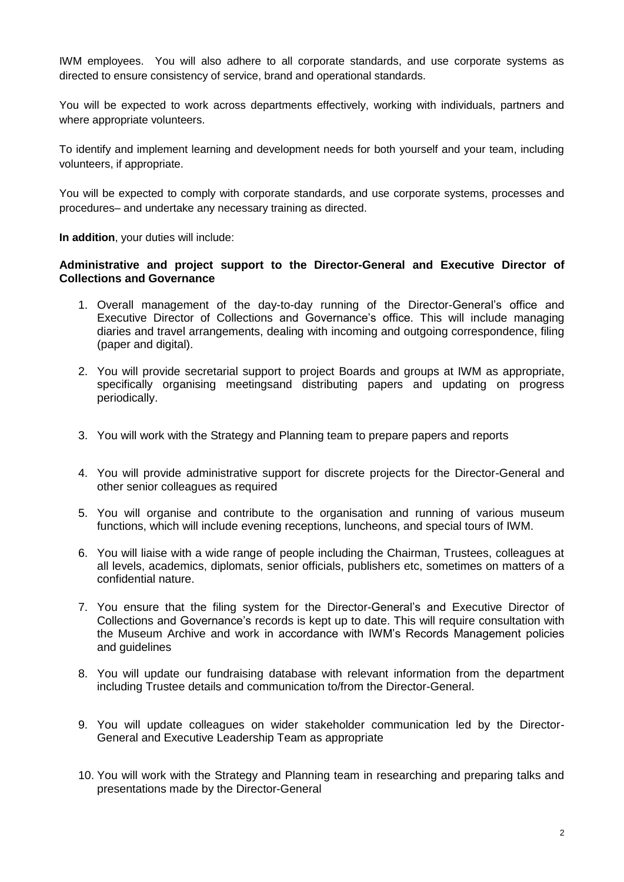IWM employees. You will also adhere to all corporate standards, and use corporate systems as directed to ensure consistency of service, brand and operational standards.

You will be expected to work across departments effectively, working with individuals, partners and where appropriate volunteers.

To identify and implement learning and development needs for both yourself and your team, including volunteers, if appropriate.

You will be expected to comply with corporate standards, and use corporate systems, processes and procedures– and undertake any necessary training as directed.

**In addition**, your duties will include:

#### **Administrative and project support to the Director-General and Executive Director of Collections and Governance**

- 1. Overall management of the day-to-day running of the Director-General's office and Executive Director of Collections and Governance's office. This will include managing diaries and travel arrangements, dealing with incoming and outgoing correspondence, filing (paper and digital).
- 2. You will provide secretarial support to project Boards and groups at IWM as appropriate, specifically organising meetingsand distributing papers and updating on progress periodically.
- 3. You will work with the Strategy and Planning team to prepare papers and reports
- 4. You will provide administrative support for discrete projects for the Director-General and other senior colleagues as required
- 5. You will organise and contribute to the organisation and running of various museum functions, which will include evening receptions, luncheons, and special tours of IWM.
- 6. You will liaise with a wide range of people including the Chairman, Trustees, colleagues at all levels, academics, diplomats, senior officials, publishers etc, sometimes on matters of a confidential nature.
- 7. You ensure that the filing system for the Director-General's and Executive Director of Collections and Governance's records is kept up to date. This will require consultation with the Museum Archive and work in accordance with IWM's Records Management policies and guidelines
- 8. You will update our fundraising database with relevant information from the department including Trustee details and communication to/from the Director-General.
- 9. You will update colleagues on wider stakeholder communication led by the Director-General and Executive Leadership Team as appropriate
- 10. You will work with the Strategy and Planning team in researching and preparing talks and presentations made by the Director-General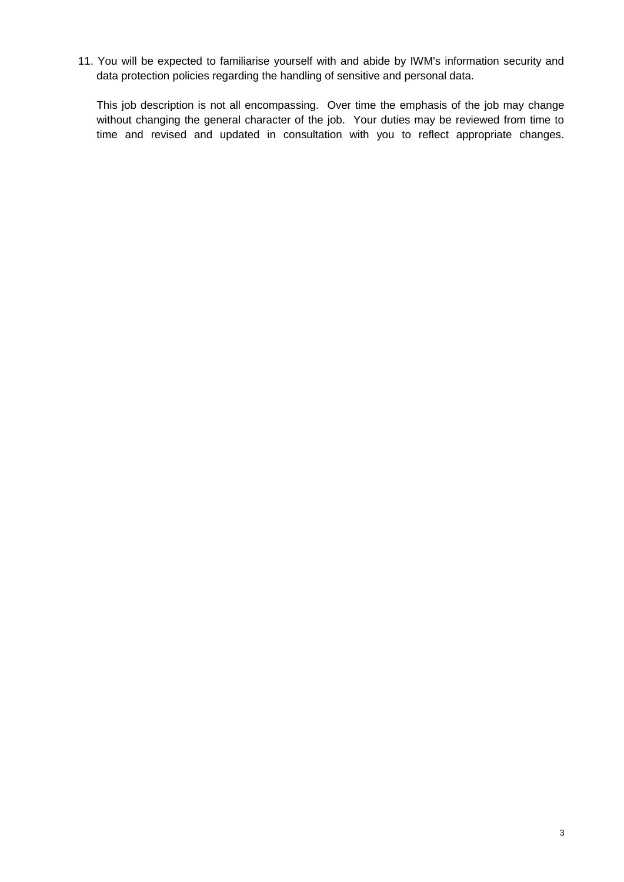11. You will be expected to familiarise yourself with and abide by IWM's information security and data protection policies regarding the handling of sensitive and personal data.

This job description is not all encompassing. Over time the emphasis of the job may change without changing the general character of the job. Your duties may be reviewed from time to time and revised and updated in consultation with you to reflect appropriate changes.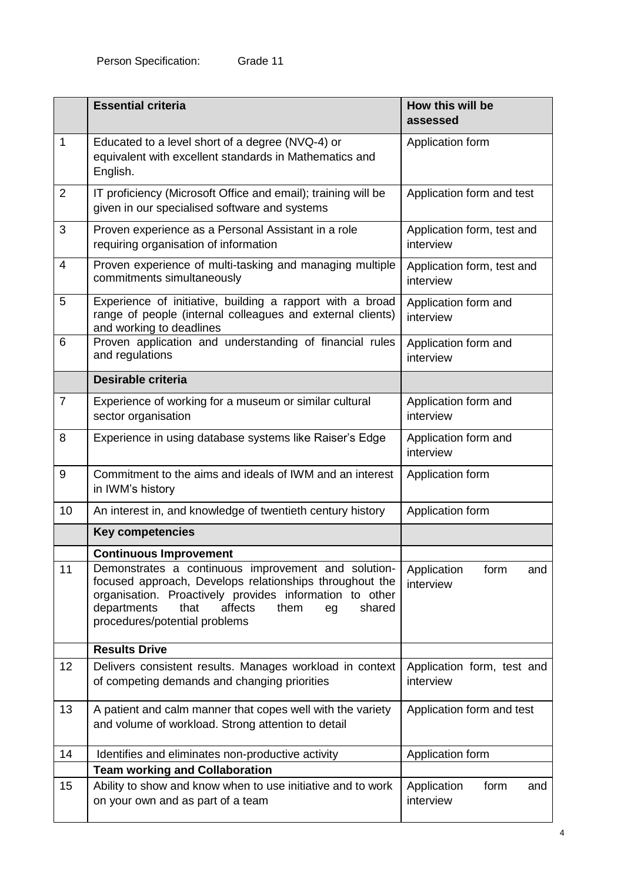|                | <b>Essential criteria</b>                                                                                                                                                                                                                                            | How this will be<br>assessed            |
|----------------|----------------------------------------------------------------------------------------------------------------------------------------------------------------------------------------------------------------------------------------------------------------------|-----------------------------------------|
| $\mathbf 1$    | Educated to a level short of a degree (NVQ-4) or<br>equivalent with excellent standards in Mathematics and<br>English.                                                                                                                                               | Application form                        |
| $\overline{2}$ | IT proficiency (Microsoft Office and email); training will be<br>given in our specialised software and systems                                                                                                                                                       | Application form and test               |
| 3              | Proven experience as a Personal Assistant in a role<br>requiring organisation of information                                                                                                                                                                         | Application form, test and<br>interview |
| 4              | Proven experience of multi-tasking and managing multiple<br>commitments simultaneously                                                                                                                                                                               | Application form, test and<br>interview |
| 5              | Experience of initiative, building a rapport with a broad<br>range of people (internal colleagues and external clients)<br>and working to deadlines                                                                                                                  | Application form and<br>interview       |
| 6              | Proven application and understanding of financial rules<br>and regulations                                                                                                                                                                                           | Application form and<br>interview       |
|                | Desirable criteria                                                                                                                                                                                                                                                   |                                         |
| $\overline{7}$ | Experience of working for a museum or similar cultural<br>sector organisation                                                                                                                                                                                        | Application form and<br>interview       |
| 8              | Experience in using database systems like Raiser's Edge                                                                                                                                                                                                              | Application form and<br>interview       |
| 9              | Commitment to the aims and ideals of IWM and an interest<br>in IWM's history                                                                                                                                                                                         | Application form                        |
| 10             | An interest in, and knowledge of twentieth century history                                                                                                                                                                                                           | Application form                        |
|                | <b>Key competencies</b>                                                                                                                                                                                                                                              |                                         |
|                | <b>Continuous Improvement</b>                                                                                                                                                                                                                                        |                                         |
| 11             | Demonstrates a continuous improvement and solution-<br>focused approach, Develops relationships throughout the<br>organisation. Proactively provides information to other<br>departments<br>affects<br>shared<br>that<br>them<br>eg<br>procedures/potential problems | Application<br>form<br>and<br>interview |
|                | <b>Results Drive</b>                                                                                                                                                                                                                                                 |                                         |
| 12             | Delivers consistent results. Manages workload in context<br>of competing demands and changing priorities                                                                                                                                                             | Application form, test and<br>interview |
| 13             | A patient and calm manner that copes well with the variety<br>and volume of workload. Strong attention to detail                                                                                                                                                     | Application form and test               |
| 14             | Identifies and eliminates non-productive activity                                                                                                                                                                                                                    | Application form                        |
|                | <b>Team working and Collaboration</b>                                                                                                                                                                                                                                |                                         |
| 15             | Ability to show and know when to use initiative and to work<br>on your own and as part of a team                                                                                                                                                                     | Application<br>form<br>and<br>interview |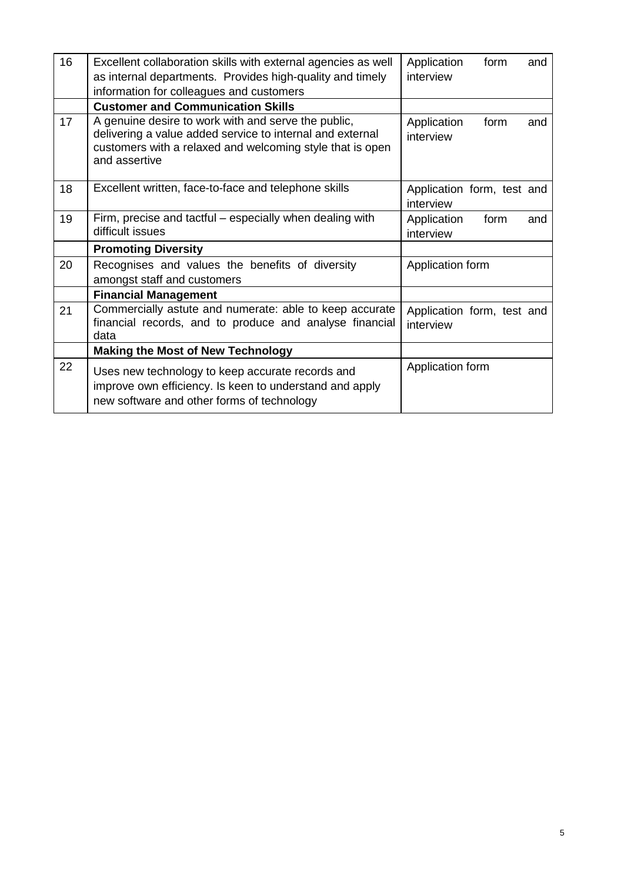| 16 | Excellent collaboration skills with external agencies as well                                                                                                                                  | Application<br>form<br>and              |
|----|------------------------------------------------------------------------------------------------------------------------------------------------------------------------------------------------|-----------------------------------------|
|    | as internal departments. Provides high-quality and timely                                                                                                                                      | interview                               |
|    | information for colleagues and customers                                                                                                                                                       |                                         |
|    | <b>Customer and Communication Skills</b>                                                                                                                                                       |                                         |
| 17 | A genuine desire to work with and serve the public,<br>delivering a value added service to internal and external<br>customers with a relaxed and welcoming style that is open<br>and assertive | Application<br>form<br>and<br>interview |
| 18 | Excellent written, face-to-face and telephone skills                                                                                                                                           | Application form, test and<br>interview |
| 19 | Firm, precise and tactful – especially when dealing with<br>difficult issues                                                                                                                   | Application<br>form<br>and<br>interview |
|    | <b>Promoting Diversity</b>                                                                                                                                                                     |                                         |
| 20 | Recognises and values the benefits of diversity<br>amongst staff and customers                                                                                                                 | Application form                        |
|    | <b>Financial Management</b>                                                                                                                                                                    |                                         |
| 21 | Commercially astute and numerate: able to keep accurate<br>financial records, and to produce and analyse financial<br>data                                                                     | Application form, test and<br>interview |
|    | <b>Making the Most of New Technology</b>                                                                                                                                                       |                                         |
| 22 | Uses new technology to keep accurate records and<br>improve own efficiency. Is keen to understand and apply<br>new software and other forms of technology                                      | Application form                        |